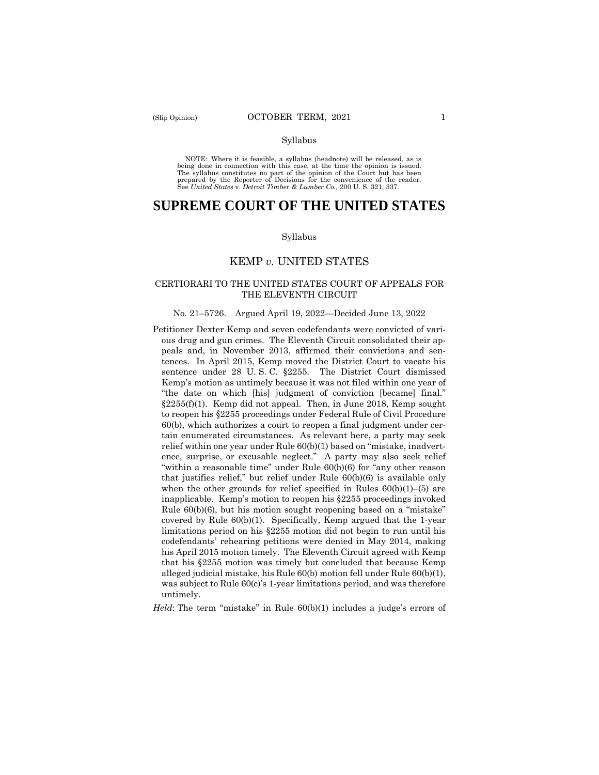#### Syllabus

 NOTE: Where it is feasible, a syllabus (headnote) will be released, as is being done in connection with this case, at the time the opinion is issued. The syllabus constitutes no part of the opinion of the Court but has been<br>prepared by the Reporter of Decisions for the convenience of the reader.<br>See United States v. Detroit Timber & Lumber Co., 200 U.S. 321, 337.

# **SUPREME COURT OF THE UNITED STATES**

#### Syllabus

### KEMP *v.* UNITED STATES

### CERTIORARI TO THE UNITED STATES COURT OF APPEALS FOR THE ELEVENTH CIRCUIT

#### No. 21–5726. Argued April 19, 2022—Decided June 13, 2022

 "within a reasonable time" under Rule 60(b)(6) for "any other reason Petitioner Dexter Kemp and seven codefendants were convicted of various drug and gun crimes. The Eleventh Circuit consolidated their appeals and, in November 2013, affirmed their convictions and sentences. In April 2015, Kemp moved the District Court to vacate his sentence under 28 U. S. C. §2255. The District Court dismissed Kemp's motion as untimely because it was not filed within one year of "the date on which [his] judgment of conviction [became] final." §2255(f)(1). Kemp did not appeal. Then, in June 2018, Kemp sought to reopen his §2255 proceedings under Federal Rule of Civil Procedure 60(b), which authorizes a court to reopen a final judgment under certain enumerated circumstances. As relevant here, a party may seek relief within one year under Rule 60(b)(1) based on "mistake, inadvertence, surprise, or excusable neglect." A party may also seek relief that justifies relief," but relief under Rule 60(b)(6) is available only when the other grounds for relief specified in Rules  $60(b)(1)$ – $(5)$  are inapplicable. Kemp's motion to reopen his §2255 proceedings invoked Rule 60(b)(6), but his motion sought reopening based on a "mistake" covered by Rule 60(b)(1). Specifically, Kemp argued that the 1-year limitations period on his §2255 motion did not begin to run until his codefendants' rehearing petitions were denied in May 2014, making his April 2015 motion timely. The Eleventh Circuit agreed with Kemp that his §2255 motion was timely but concluded that because Kemp alleged judicial mistake, his Rule 60(b) motion fell under Rule 60(b)(1), was subject to Rule 60(c)'s 1-year limitations period, and was therefore untimely.

*Held*: The term "mistake" in Rule 60(b)(1) includes a judge's errors of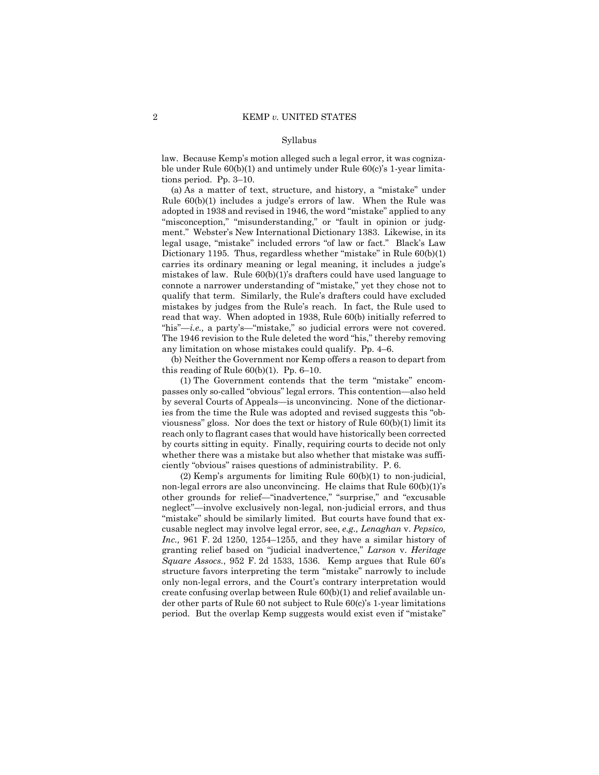#### Syllabus

law. Because Kemp's motion alleged such a legal error, it was cognizable under Rule 60(b)(1) and untimely under Rule 60(c)'s 1-year limitations period. Pp. 3–10.

"his"—*i.e.*, a party's—"mistake," so judicial errors were not covered. (a) As a matter of text, structure, and history, a "mistake" under Rule 60(b)(1) includes a judge's errors of law. When the Rule was adopted in 1938 and revised in 1946, the word "mistake" applied to any "misconception," "misunderstanding," or "fault in opinion or judgment." Webster's New International Dictionary 1383. Likewise, in its legal usage, "mistake" included errors "of law or fact." Black's Law Dictionary 1195. Thus, regardless whether "mistake" in Rule 60(b)(1) carries its ordinary meaning or legal meaning, it includes a judge's mistakes of law. Rule 60(b)(1)'s drafters could have used language to connote a narrower understanding of "mistake," yet they chose not to qualify that term. Similarly, the Rule's drafters could have excluded mistakes by judges from the Rule's reach. In fact, the Rule used to read that way. When adopted in 1938, Rule 60(b) initially referred to The 1946 revision to the Rule deleted the word "his," thereby removing any limitation on whose mistakes could qualify. Pp. 4–6.

(b) Neither the Government nor Kemp offers a reason to depart from this reading of Rule 60(b)(1). Pp. 6–10.

(1) The Government contends that the term "mistake" encompasses only so-called "obvious" legal errors. This contention—also held by several Courts of Appeals—is unconvincing. None of the dictionaries from the time the Rule was adopted and revised suggests this "obviousness" gloss. Nor does the text or history of Rule 60(b)(1) limit its reach only to flagrant cases that would have historically been corrected by courts sitting in equity. Finally, requiring courts to decide not only whether there was a mistake but also whether that mistake was sufficiently "obvious" raises questions of administrability. P. 6.

(2) Kemp's arguments for limiting Rule 60(b)(1) to non-judicial, non-legal errors are also unconvincing. He claims that Rule 60(b)(1)'s other grounds for relief—"inadvertence," "surprise," and "excusable neglect"—involve exclusively non-legal, non-judicial errors, and thus "mistake" should be similarly limited. But courts have found that excusable neglect may involve legal error, see, *e.g., Lenaghan* v. *Pepsico, Inc.,* 961 F. 2d 1250, 1254–1255, and they have a similar history of granting relief based on "judicial inadvertence," *Larson* v. *Heritage Square Assocs.*, 952 F. 2d 1533, 1536. Kemp argues that Rule 60's structure favors interpreting the term "mistake" narrowly to include only non-legal errors, and the Court's contrary interpretation would create confusing overlap between Rule 60(b)(1) and relief available under other parts of Rule 60 not subject to Rule 60(c)'s 1-year limitations period. But the overlap Kemp suggests would exist even if "mistake"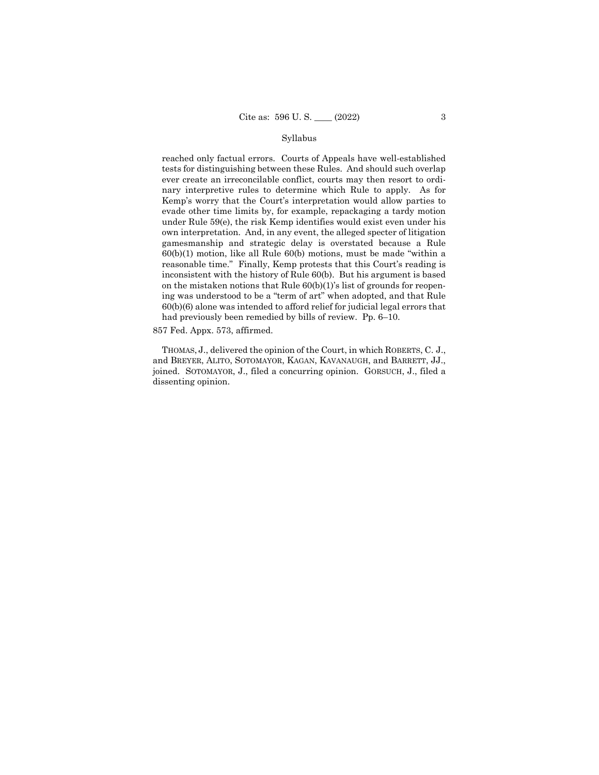#### Syllabus

reached only factual errors. Courts of Appeals have well-established tests for distinguishing between these Rules. And should such overlap ever create an irreconcilable conflict, courts may then resort to ordinary interpretive rules to determine which Rule to apply. As for Kemp's worry that the Court's interpretation would allow parties to evade other time limits by, for example, repackaging a tardy motion under Rule 59(e), the risk Kemp identifies would exist even under his own interpretation. And, in any event, the alleged specter of litigation gamesmanship and strategic delay is overstated because a Rule 60(b)(1) motion, like all Rule 60(b) motions, must be made "within a reasonable time." Finally, Kemp protests that this Court's reading is inconsistent with the history of Rule 60(b). But his argument is based on the mistaken notions that Rule 60(b)(1)'s list of grounds for reopening was understood to be a "term of art" when adopted, and that Rule 60(b)(6) alone was intended to afford relief for judicial legal errors that had previously been remedied by bills of review. Pp. 6–10.

#### 857 Fed. Appx. 573, affirmed.

THOMAS, J., delivered the opinion of the Court, in which ROBERTS, C. J., and BREYER, ALITO, SOTOMAYOR, KAGAN, KAVANAUGH, and BARRETT, JJ., joined. SOTOMAYOR, J., filed a concurring opinion. GORSUCH, J., filed a dissenting opinion.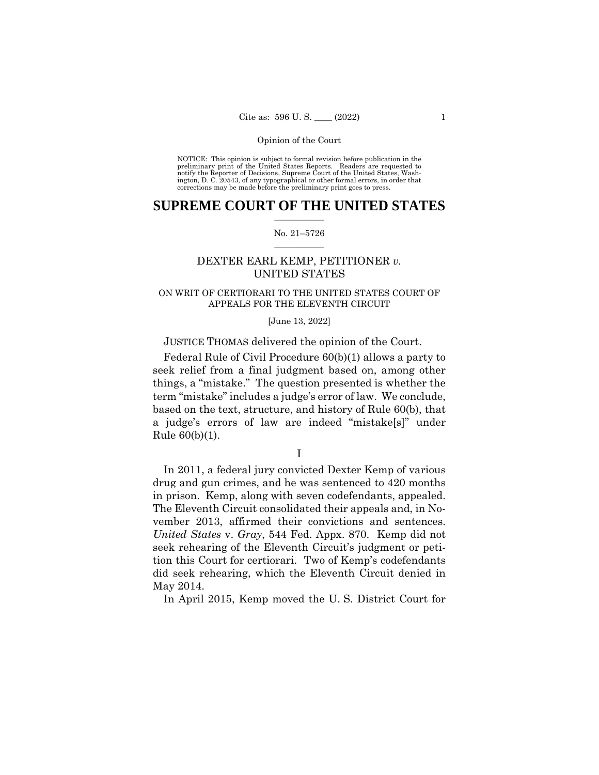NOTICE: This opinion is subject to formal revision before publication in the preliminary print of the United States Reports. Readers are requested to notify the Reporter of Decisions, Supreme Court of the United States, Wash-ington, D. C. 20543, of any typographical or other formal errors, in order that corrections may be made before the preliminary print goes to press.

### $\frac{1}{2}$  ,  $\frac{1}{2}$  ,  $\frac{1}{2}$  ,  $\frac{1}{2}$  ,  $\frac{1}{2}$  ,  $\frac{1}{2}$  ,  $\frac{1}{2}$ **SUPREME COURT OF THE UNITED STATES**

#### $\frac{1}{2}$  ,  $\frac{1}{2}$  ,  $\frac{1}{2}$  ,  $\frac{1}{2}$  ,  $\frac{1}{2}$  ,  $\frac{1}{2}$ No. 21–5726

# DEXTER EARL KEMP, PETITIONER *v.*  UNITED STATES

# ON WRIT OF CERTIORARI TO THE UNITED STATES COURT OF APPEALS FOR THE ELEVENTH CIRCUIT

#### [June 13, 2022]

# JUSTICE THOMAS delivered the opinion of the Court.

Federal Rule of Civil Procedure 60(b)(1) allows a party to seek relief from a final judgment based on, among other things, a "mistake." The question presented is whether the term "mistake" includes a judge's error of law. We conclude, based on the text, structure, and history of Rule 60(b), that a judge's errors of law are indeed "mistake[s]" under Rule 60(b)(1).

I

 in prison. Kemp, along with seven codefendants, appealed. In 2011, a federal jury convicted Dexter Kemp of various drug and gun crimes, and he was sentenced to 420 months The Eleventh Circuit consolidated their appeals and, in November 2013, affirmed their convictions and sentences. *United States* v. *Gray*, 544 Fed. Appx. 870. Kemp did not seek rehearing of the Eleventh Circuit's judgment or petition this Court for certiorari. Two of Kemp's codefendants did seek rehearing, which the Eleventh Circuit denied in May 2014.

In April 2015, Kemp moved the U. S. District Court for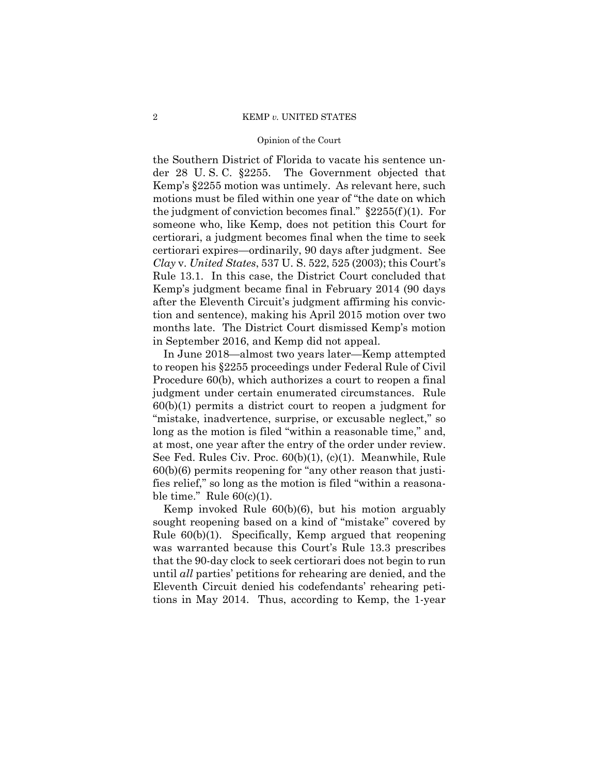#### 2 KEMP *v.* UNITED STATES

#### Opinion of the Court

the Southern District of Florida to vacate his sentence under 28 U. S. C. §2255. The Government objected that Kemp's §2255 motion was untimely. As relevant here, such motions must be filed within one year of "the date on which the judgment of conviction becomes final."  $\S 2255(f)(1)$ . For someone who, like Kemp, does not petition this Court for certiorari, a judgment becomes final when the time to seek certiorari expires—ordinarily, 90 days after judgment. See *Clay* v. *United States*, 537 U. S. 522, 525 (2003); this Court's Rule 13.1. In this case, the District Court concluded that Kemp's judgment became final in February 2014 (90 days after the Eleventh Circuit's judgment affirming his conviction and sentence), making his April 2015 motion over two months late. The District Court dismissed Kemp's motion in September 2016, and Kemp did not appeal.

In June 2018—almost two years later—Kemp attempted to reopen his §2255 proceedings under Federal Rule of Civil Procedure 60(b), which authorizes a court to reopen a final judgment under certain enumerated circumstances. Rule 60(b)(1) permits a district court to reopen a judgment for "mistake, inadvertence, surprise, or excusable neglect," so long as the motion is filed "within a reasonable time," and, at most, one year after the entry of the order under review. See Fed. Rules Civ. Proc. 60(b)(1), (c)(1). Meanwhile, Rule 60(b)(6) permits reopening for "any other reason that justifies relief," so long as the motion is filed "within a reasonable time." Rule  $60(c)(1)$ .

Kemp invoked Rule 60(b)(6), but his motion arguably sought reopening based on a kind of "mistake" covered by Rule 60(b)(1). Specifically, Kemp argued that reopening was warranted because this Court's Rule 13.3 prescribes that the 90-day clock to seek certiorari does not begin to run until *all* parties' petitions for rehearing are denied, and the Eleventh Circuit denied his codefendants' rehearing petitions in May 2014. Thus, according to Kemp, the 1-year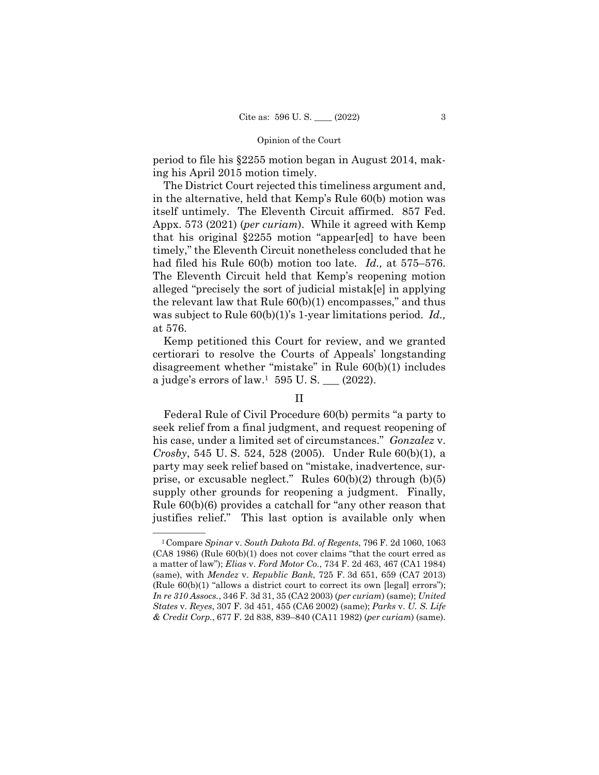period to file his §2255 motion began in August 2014, making his April 2015 motion timely.

The District Court rejected this timeliness argument and, in the alternative, held that Kemp's Rule 60(b) motion was itself untimely. The Eleventh Circuit affirmed. 857 Fed. Appx. 573 (2021) (*per curiam*). While it agreed with Kemp that his original §2255 motion "appear[ed] to have been timely," the Eleventh Circuit nonetheless concluded that he had filed his Rule 60(b) motion too late. *Id.,* at 575–576. The Eleventh Circuit held that Kemp's reopening motion alleged "precisely the sort of judicial mistak[e] in applying the relevant law that Rule 60(b)(1) encompasses," and thus was subject to Rule 60(b)(1)'s 1-year limitations period. *Id.,*  at 576.

Kemp petitioned this Court for review, and we granted certiorari to resolve the Courts of Appeals' longstanding disagreement whether "mistake" in Rule 60(b)(1) includes a judge's errors of law.<sup>1</sup> 595 U.S.  $\_\_$  (2022).

# II

Federal Rule of Civil Procedure 60(b) permits "a party to seek relief from a final judgment, and request reopening of his case, under a limited set of circumstances." *Gonzalez* v. *Crosby*, 545 U. S. 524, 528 (2005). Under Rule 60(b)(1), a party may seek relief based on "mistake, inadvertence, surprise, or excusable neglect." Rules 60(b)(2) through (b)(5) supply other grounds for reopening a judgment. Finally, Rule 60(b)(6) provides a catchall for "any other reason that justifies relief." This last option is available only when

<sup>—————— 1</sup>Compare *Spinar* v. *South Dakota Bd. of Regents*, 796 F. 2d 1060, 1063 (CA8 1986) (Rule 60(b)(1) does not cover claims "that the court erred as a matter of law"); *Elias* v. *Ford Motor Co.*, 734 F. 2d 463, 467 (CA1 1984) (same), with *Mendez* v. *Republic Bank*, 725 F. 3d 651, 659 (CA7 2013) (Rule 60(b)(1) "allows a district court to correct its own [legal] errors"); *In re 310 Assocs.*, 346 F. 3d 31, 35 (CA2 2003) (*per curiam*) (same); *United States* v. *Reyes*, 307 F. 3d 451, 455 (CA6 2002) (same); *Parks* v. *U. S. Life & Credit Corp.*, 677 F. 2d 838, 839–840 (CA11 1982) (*per curiam*) (same).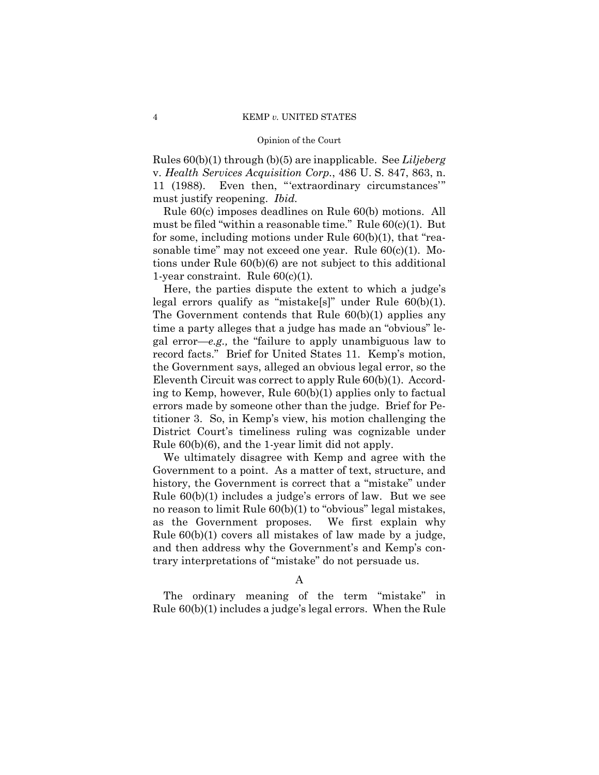Rules 60(b)(1) through (b)(5) are inapplicable. See *Liljeberg*  v. *Health Services Acquisition Corp.*, 486 U. S. 847, 863, n. 11 (1988). Even then, "'extraordinary circumstances'" must justify reopening. *Ibid.* 

Rule 60(c) imposes deadlines on Rule 60(b) motions. All must be filed "within a reasonable time." Rule 60(c)(1). But for some, including motions under Rule 60(b)(1), that "reasonable time" may not exceed one year. Rule 60(c)(1). Motions under Rule 60(b)(6) are not subject to this additional 1-year constraint. Rule 60(c)(1)*.* 

Here, the parties dispute the extent to which a judge's legal errors qualify as "mistake[s]" under Rule 60(b)(1). The Government contends that Rule 60(b)(1) applies any time a party alleges that a judge has made an "obvious" legal error—*e.g.,* the "failure to apply unambiguous law to record facts." Brief for United States 11. Kemp's motion, the Government says, alleged an obvious legal error, so the Eleventh Circuit was correct to apply Rule 60(b)(1). According to Kemp, however, Rule 60(b)(1) applies only to factual errors made by someone other than the judge. Brief for Petitioner 3. So, in Kemp's view, his motion challenging the District Court's timeliness ruling was cognizable under Rule 60(b)(6), and the 1-year limit did not apply.

We ultimately disagree with Kemp and agree with the Government to a point. As a matter of text, structure, and history, the Government is correct that a "mistake" under Rule 60(b)(1) includes a judge's errors of law. But we see no reason to limit Rule  $60(b)(1)$  to "obvious" legal mistakes, as the Government proposes. We first explain why Rule 60(b)(1) covers all mistakes of law made by a judge, and then address why the Government's and Kemp's contrary interpretations of "mistake" do not persuade us.

A

The ordinary meaning of the term "mistake" in Rule 60(b)(1) includes a judge's legal errors. When the Rule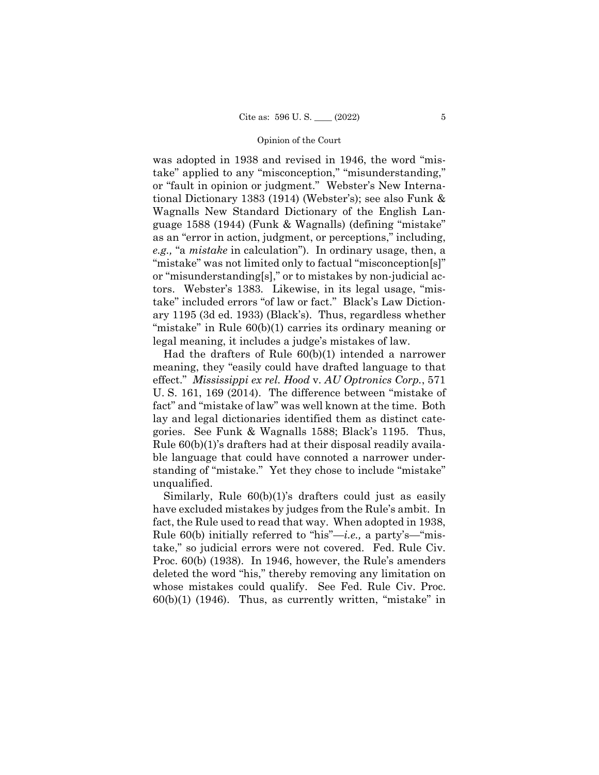was adopted in 1938 and revised in 1946, the word "mistake" applied to any "misconception," "misunderstanding," or "fault in opinion or judgment." Webster's New International Dictionary 1383 (1914) (Webster's); see also Funk & Wagnalls New Standard Dictionary of the English Language 1588 (1944) (Funk & Wagnalls) (defining "mistake" as an "error in action, judgment, or perceptions," including, *e.g.,* "a *mistake* in calculation"). In ordinary usage, then, a "mistake" was not limited only to factual "misconception[s]" or "misunderstanding[s]," or to mistakes by non-judicial actors. Webster's 1383*.* Likewise, in its legal usage, "mistake" included errors "of law or fact." Black's Law Dictionary 1195 (3d ed. 1933) (Black's). Thus, regardless whether "mistake" in Rule 60(b)(1) carries its ordinary meaning or legal meaning, it includes a judge's mistakes of law.

Had the drafters of Rule 60(b)(1) intended a narrower meaning, they "easily could have drafted language to that effect." *Mississippi ex rel. Hood* v. *AU Optronics Corp.*, 571 U. S. 161, 169 (2014). The difference between "mistake of fact" and "mistake of law" was well known at the time. Both lay and legal dictionaries identified them as distinct categories. See Funk & Wagnalls 1588; Black's 1195. Thus, Rule 60(b)(1)'s drafters had at their disposal readily available language that could have connoted a narrower understanding of "mistake." Yet they chose to include "mistake" unqualified.

Similarly, Rule 60(b)(1)'s drafters could just as easily have excluded mistakes by judges from the Rule's ambit. In fact, the Rule used to read that way. When adopted in 1938, Rule 60(b) initially referred to "his"—*i.e.,* a party's—"mistake," so judicial errors were not covered. Fed. Rule Civ. Proc. 60(b) (1938). In 1946, however, the Rule's amenders deleted the word "his," thereby removing any limitation on whose mistakes could qualify. See Fed. Rule Civ. Proc.  $60(b)(1)$  (1946). Thus, as currently written, "mistake" in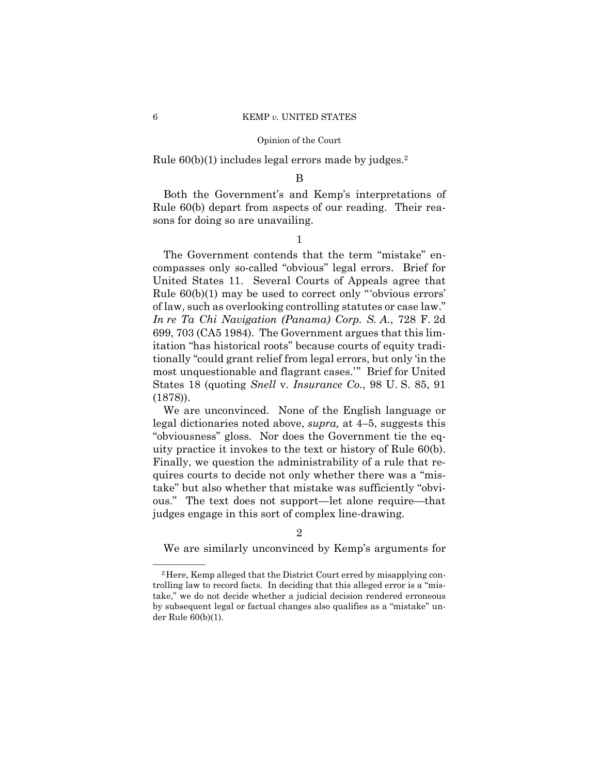Rule 60(b)(1) includes legal errors made by judges.2

# B

Both the Government's and Kemp's interpretations of Rule 60(b) depart from aspects of our reading. Their reasons for doing so are unavailing.

1

The Government contends that the term "mistake" encompasses only so-called "obvious" legal errors. Brief for United States 11. Several Courts of Appeals agree that Rule 60(b)(1) may be used to correct only "'obvious errors' of law, such as overlooking controlling statutes or case law." *In re Ta Chi Navigation (Panama) Corp. S. A.*, 728 F. 2d 699, 703 (CA5 1984). The Government argues that this limitation "has historical roots" because courts of equity traditionally "could grant relief from legal errors, but only 'in the most unquestionable and flagrant cases.'" Brief for United States 18 (quoting *Snell* v. *Insurance Co.*, 98 U. S. 85, 91 (1878)).

 uity practice it invokes to the text or history of Rule 60(b). We are unconvinced. None of the English language or legal dictionaries noted above, *supra,* at 4–5, suggests this "obviousness" gloss. Nor does the Government tie the eq-Finally, we question the administrability of a rule that requires courts to decide not only whether there was a "mistake" but also whether that mistake was sufficiently "obvious." The text does not support—let alone require—that judges engage in this sort of complex line-drawing.

### 2

We are similarly unconvinced by Kemp's arguments for

<sup>&</sup>lt;sup>2</sup>Here, Kemp alleged that the District Court erred by misapplying controlling law to record facts. In deciding that this alleged error is a "mistake," we do not decide whether a judicial decision rendered erroneous by subsequent legal or factual changes also qualifies as a "mistake" under Rule 60(b)(1).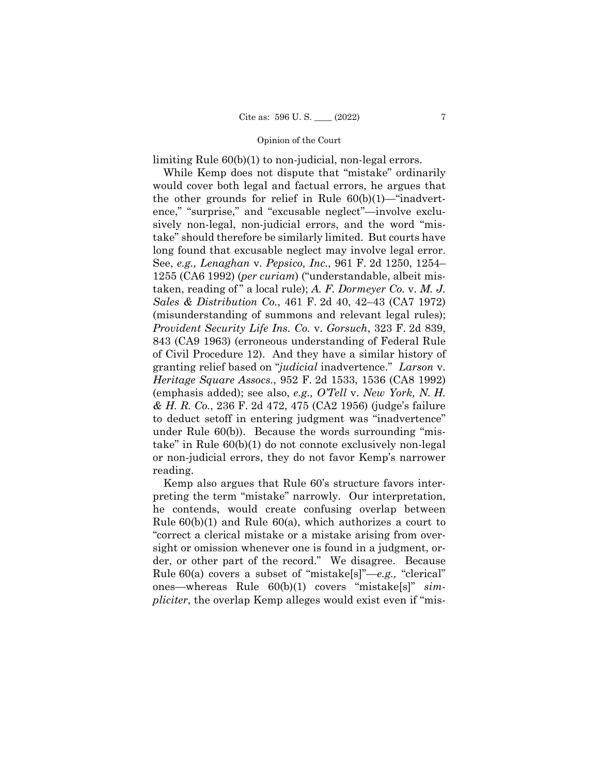limiting Rule 60(b)(1) to non-judicial, non-legal errors.

long found that excusable neglect may involve legal error. While Kemp does not dispute that "mistake" ordinarily would cover both legal and factual errors, he argues that the other grounds for relief in Rule  $60(b)(1)$ —"inadvertence," "surprise," and "excusable neglect"—involve exclusively non-legal, non-judicial errors, and the word "mistake" should therefore be similarly limited. But courts have long found that excusable neglect may involve legal error. See, *e.g., Lenaghan* v. *Pepsico, Inc.*, 961 F. 2d 1250, 1254– 1255 (CA6 1992) (*per curiam*) ("understandable, albeit mistaken, reading of " a local rule); *A. F. Dormeyer Co.* v. *M. J. Sales & Distribution Co.*, 461 F. 2d 40, 42–43 (CA7 1972) (misunderstanding of summons and relevant legal rules); *Provident Security Life Ins. Co.* v. *Gorsuch*, 323 F. 2d 839, 843 (CA9 1963) (erroneous understanding of Federal Rule of Civil Procedure 12). And they have a similar history of granting relief based on "*judicial* inadvertence." *Larson* v. *Heritage Square Assocs.*, 952 F. 2d 1533, 1536 (CA8 1992) (emphasis added); see also, *e.g., O'Tell* v. *New York, N. H. & H. R. Co.*, 236 F. 2d 472, 475 (CA2 1956) (judge's failure to deduct setoff in entering judgment was "inadvertence" under Rule 60(b)). Because the words surrounding "mistake" in Rule 60(b)(1) do not connote exclusively non-legal or non-judicial errors, they do not favor Kemp's narrower reading.

Kemp also argues that Rule 60's structure favors interpreting the term "mistake" narrowly. Our interpretation, he contends, would create confusing overlap between Rule 60(b)(1) and Rule 60(a), which authorizes a court to "correct a clerical mistake or a mistake arising from oversight or omission whenever one is found in a judgment, order, or other part of the record." We disagree. Because Rule 60(a) covers a subset of "mistake[s]"—*e.g.,* "clerical" ones—whereas Rule 60(b)(1) covers "mistake[s]" *simpliciter*, the overlap Kemp alleges would exist even if "mis-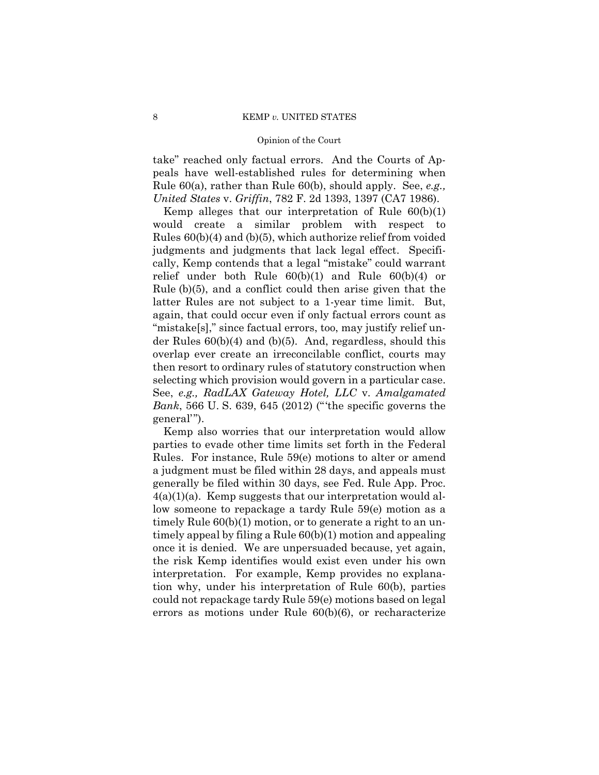take" reached only factual errors. And the Courts of Appeals have well-established rules for determining when Rule 60(a), rather than Rule 60(b), should apply. See, *e.g., United States* v. *Griffin*, 782 F. 2d 1393, 1397 (CA7 1986).

Kemp alleges that our interpretation of Rule 60(b)(1) would create a similar problem with respect to Rules 60(b)(4) and (b)(5), which authorize relief from voided judgments and judgments that lack legal effect. Specifically, Kemp contends that a legal "mistake" could warrant relief under both Rule 60(b)(1) and Rule 60(b)(4) or Rule (b)(5), and a conflict could then arise given that the latter Rules are not subject to a 1-year time limit. But, again, that could occur even if only factual errors count as "mistake[s]," since factual errors, too, may justify relief under Rules 60(b)(4) and (b)(5). And, regardless, should this overlap ever create an irreconcilable conflict, courts may then resort to ordinary rules of statutory construction when selecting which provision would govern in a particular case. See, *e.g., RadLAX Gateway Hotel, LLC* v. *Amalgamated Bank*, 566 U. S. 639, 645 (2012) ("'the specific governs the general'").

Kemp also worries that our interpretation would allow parties to evade other time limits set forth in the Federal Rules. For instance, Rule 59(e) motions to alter or amend a judgment must be filed within 28 days, and appeals must generally be filed within 30 days, see Fed. Rule App. Proc.  $4(a)(1)(a)$ . Kemp suggests that our interpretation would allow someone to repackage a tardy Rule 59(e) motion as a timely Rule 60(b)(1) motion, or to generate a right to an untimely appeal by filing a Rule 60(b)(1) motion and appealing once it is denied. We are unpersuaded because, yet again, the risk Kemp identifies would exist even under his own interpretation. For example, Kemp provides no explanation why, under his interpretation of Rule 60(b), parties could not repackage tardy Rule 59(e) motions based on legal errors as motions under Rule 60(b)(6), or recharacterize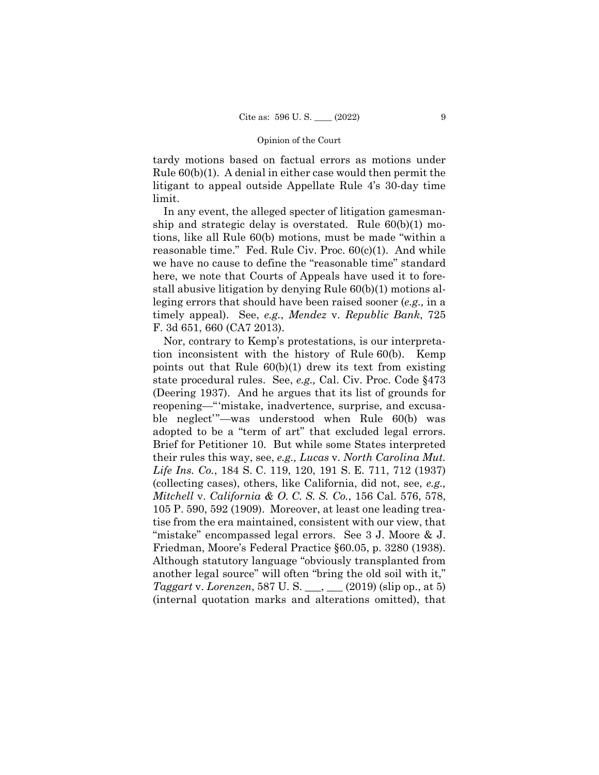tardy motions based on factual errors as motions under Rule 60(b)(1). A denial in either case would then permit the litigant to appeal outside Appellate Rule 4's 30-day time limit.

In any event, the alleged specter of litigation gamesmanship and strategic delay is overstated. Rule 60(b)(1) motions, like all Rule 60(b) motions, must be made "within a reasonable time." Fed. Rule Civ. Proc. 60(c)(1). And while we have no cause to define the "reasonable time" standard here, we note that Courts of Appeals have used it to forestall abusive litigation by denying Rule 60(b)(1) motions alleging errors that should have been raised sooner (*e.g.,* in a timely appeal). See, *e.g.*, *Mendez* v. *Republic Bank*, 725 F. 3d 651, 660 (CA7 2013).

 Friedman, Moore's Federal Practice §60.05, p. 3280 (1938). Nor, contrary to Kemp's protestations, is our interpretation inconsistent with the history of Rule 60(b). Kemp points out that Rule 60(b)(1) drew its text from existing state procedural rules. See, *e.g.,* Cal. Civ. Proc. Code §473 (Deering 1937). And he argues that its list of grounds for reopening—"'mistake, inadvertence, surprise, and excusable neglect'"—was understood when Rule 60(b) was adopted to be a "term of art" that excluded legal errors. Brief for Petitioner 10. But while some States interpreted their rules this way, see, *e.g., Lucas* v. *North Carolina Mut. Life Ins. Co.*, 184 S. C. 119, 120, 191 S. E. 711, 712 (1937) (collecting cases), others, like California, did not, see, *e.g., Mitchell* v. *California & O. C. S. S. Co.*, 156 Cal. 576, 578, 105 P. 590, 592 (1909). Moreover, at least one leading treatise from the era maintained, consistent with our view, that "mistake" encompassed legal errors. See 3 J. Moore & J. Although statutory language "obviously transplanted from another legal source" will often "bring the old soil with it," *Taggart* v. *Lorenzen*, 587 U. S. \_\_\_, \_\_\_ (2019) (slip op., at 5) (internal quotation marks and alterations omitted), that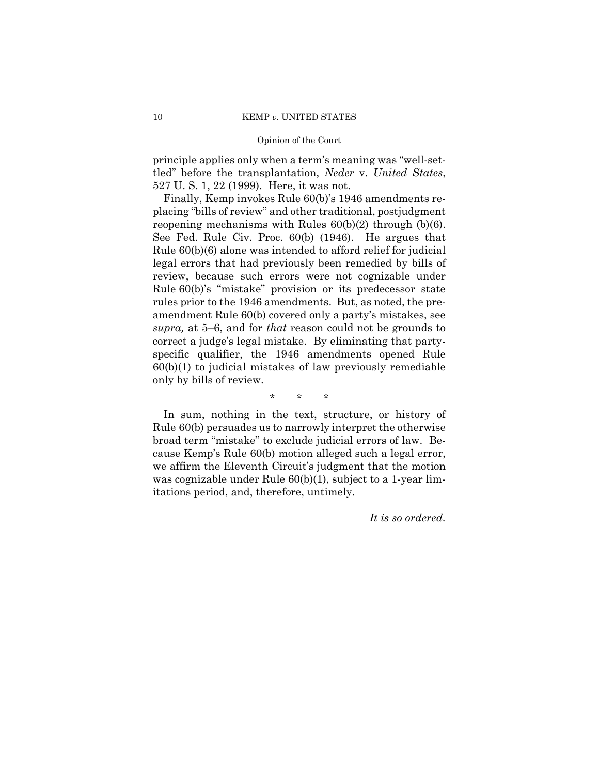principle applies only when a term's meaning was "well-settled" before the transplantation, *Neder* v. *United States*, 527 U. S. 1, 22 (1999). Here, it was not.

Finally, Kemp invokes Rule 60(b)'s 1946 amendments replacing "bills of review" and other traditional, postjudgment reopening mechanisms with Rules  $60(b)(2)$  through  $(b)(6)$ . See Fed. Rule Civ. Proc. 60(b) (1946). He argues that Rule 60(b)(6) alone was intended to afford relief for judicial legal errors that had previously been remedied by bills of review, because such errors were not cognizable under Rule 60(b)'s "mistake" provision or its predecessor state rules prior to the 1946 amendments. But, as noted, the preamendment Rule 60(b) covered only a party's mistakes, see *supra,* at 5–6, and for *that* reason could not be grounds to correct a judge's legal mistake. By eliminating that partyspecific qualifier, the 1946 amendments opened Rule  $60(b)(1)$  to judicial mistakes of law previously remediable only by bills of review.

\* \* \*

In sum, nothing in the text, structure, or history of Rule 60(b) persuades us to narrowly interpret the otherwise broad term "mistake" to exclude judicial errors of law. Because Kemp's Rule 60(b) motion alleged such a legal error, we affirm the Eleventh Circuit's judgment that the motion was cognizable under Rule  $60(b)(1)$ , subject to a 1-year limitations period, and, therefore, untimely.

*It is so ordered.*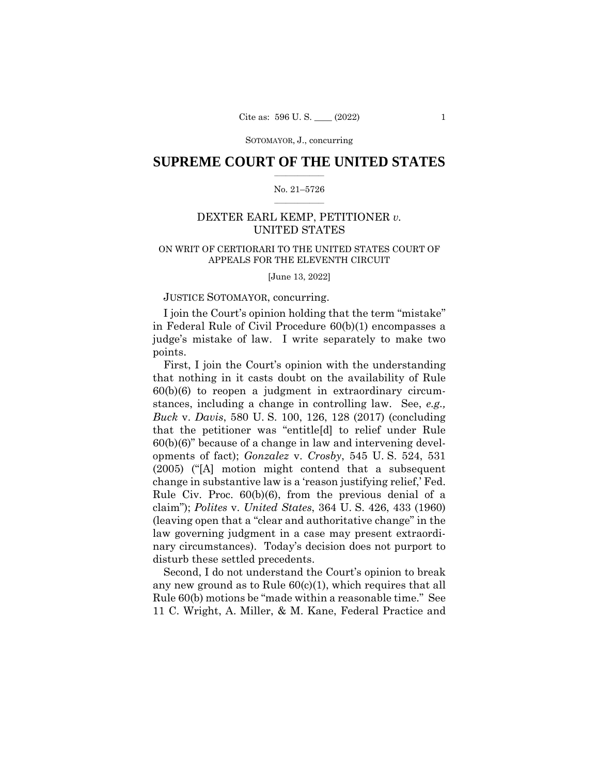SOTOMAYOR, J., concurring

### $\frac{1}{2}$  ,  $\frac{1}{2}$  ,  $\frac{1}{2}$  ,  $\frac{1}{2}$  ,  $\frac{1}{2}$  ,  $\frac{1}{2}$  ,  $\frac{1}{2}$ **SUPREME COURT OF THE UNITED STATES**

#### $\frac{1}{2}$  ,  $\frac{1}{2}$  ,  $\frac{1}{2}$  ,  $\frac{1}{2}$  ,  $\frac{1}{2}$  ,  $\frac{1}{2}$ No. 21–5726

# DEXTER EARL KEMP, PETITIONER *v.*  UNITED STATES

# ON WRIT OF CERTIORARI TO THE UNITED STATES COURT OF APPEALS FOR THE ELEVENTH CIRCUIT

[June 13, 2022]

# JUSTICE SOTOMAYOR, concurring.

I join the Court's opinion holding that the term "mistake" in Federal Rule of Civil Procedure 60(b)(1) encompasses a judge's mistake of law. I write separately to make two points.

First, I join the Court's opinion with the understanding that nothing in it casts doubt on the availability of Rule 60(b)(6) to reopen a judgment in extraordinary circumstances, including a change in controlling law. See, *e.g., Buck* v. *Davis*, 580 U. S. 100, 126, 128 (2017) (concluding that the petitioner was "entitle[d] to relief under Rule 60(b)(6)" because of a change in law and intervening developments of fact); *Gonzalez* v. *Crosby*, 545 U. S. 524, 531 (2005) ("[A] motion might contend that a subsequent change in substantive law is a 'reason justifying relief,' Fed. Rule Civ. Proc. 60(b)(6), from the previous denial of a claim"); *Polites* v. *United States*, 364 U. S. 426, 433 (1960) (leaving open that a "clear and authoritative change" in the law governing judgment in a case may present extraordinary circumstances). Today's decision does not purport to disturb these settled precedents.

Second, I do not understand the Court's opinion to break any new ground as to Rule 60(c)(1), which requires that all Rule 60(b) motions be "made within a reasonable time." See 11 C. Wright, A. Miller, & M. Kane, Federal Practice and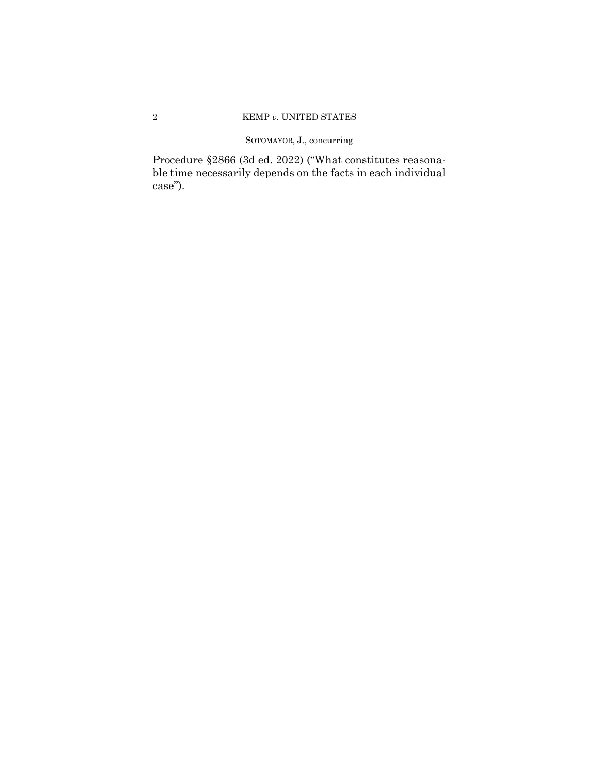# SOTOMAYOR, J., concurring

Procedure §2866 (3d ed. 2022) ("What constitutes reasonable time necessarily depends on the facts in each individual case").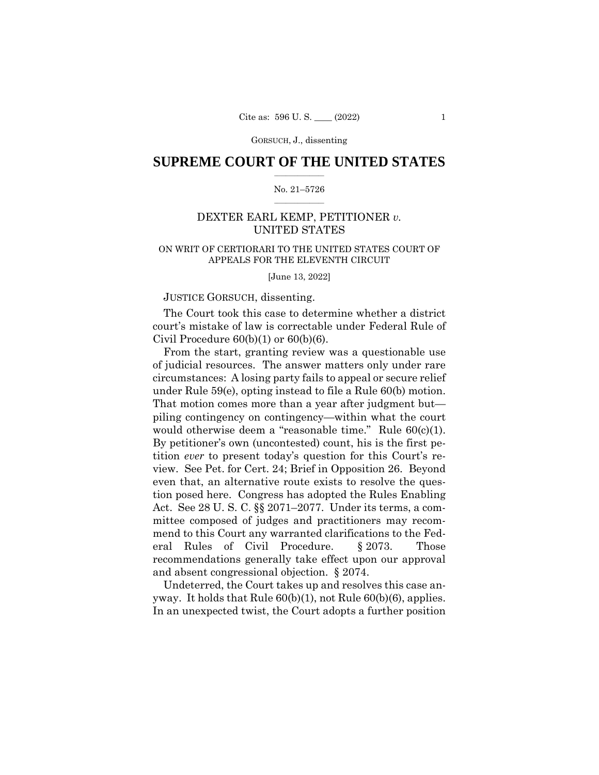GORSUCH, J., dissenting

# $\frac{1}{2}$  ,  $\frac{1}{2}$  ,  $\frac{1}{2}$  ,  $\frac{1}{2}$  ,  $\frac{1}{2}$  ,  $\frac{1}{2}$  ,  $\frac{1}{2}$ **SUPREME COURT OF THE UNITED STATES**

#### $\frac{1}{2}$  ,  $\frac{1}{2}$  ,  $\frac{1}{2}$  ,  $\frac{1}{2}$  ,  $\frac{1}{2}$  ,  $\frac{1}{2}$ No. 21–5726

# DEXTER EARL KEMP, PETITIONER *v.*  UNITED STATES

# ON WRIT OF CERTIORARI TO THE UNITED STATES COURT OF APPEALS FOR THE ELEVENTH CIRCUIT

[June 13, 2022]

### JUSTICE GORSUCH, dissenting.

The Court took this case to determine whether a district court's mistake of law is correctable under Federal Rule of Civil Procedure  $60(b)(1)$  or  $60(b)(6)$ .

 under Rule 59(e), opting instead to file a Rule 60(b) motion. From the start, granting review was a questionable use of judicial resources. The answer matters only under rare circumstances: A losing party fails to appeal or secure relief That motion comes more than a year after judgment but piling contingency on contingency—within what the court would otherwise deem a "reasonable time." Rule  $60(c)(1)$ . By petitioner's own (uncontested) count, his is the first petition *ever* to present today's question for this Court's review. See Pet. for Cert. 24; Brief in Opposition 26. Beyond even that, an alternative route exists to resolve the question posed here. Congress has adopted the Rules Enabling Act. See 28 U. S. C. §§ 2071–2077. Under its terms, a committee composed of judges and practitioners may recommend to this Court any warranted clarifications to the Federal Rules of Civil Procedure. § 2073. Those recommendations generally take effect upon our approval and absent congressional objection. § 2074.

Undeterred, the Court takes up and resolves this case anyway. It holds that Rule 60(b)(1), not Rule 60(b)(6), applies. In an unexpected twist, the Court adopts a further position